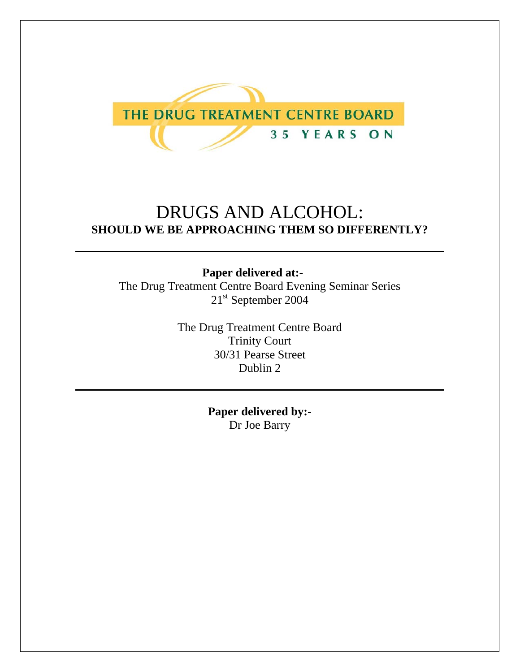

## DRUGS AND ALCOHOL: **SHOULD WE BE APPROACHING THEM SO DIFFERENTLY?**

## **Paper delivered at:-**

The Drug Treatment Centre Board Evening Seminar Series 21<sup>st</sup> September 2004

> The Drug Treatment Centre Board Trinity Court 30/31 Pearse Street Dublin 2

> > **Paper delivered by:-**  Dr Joe Barry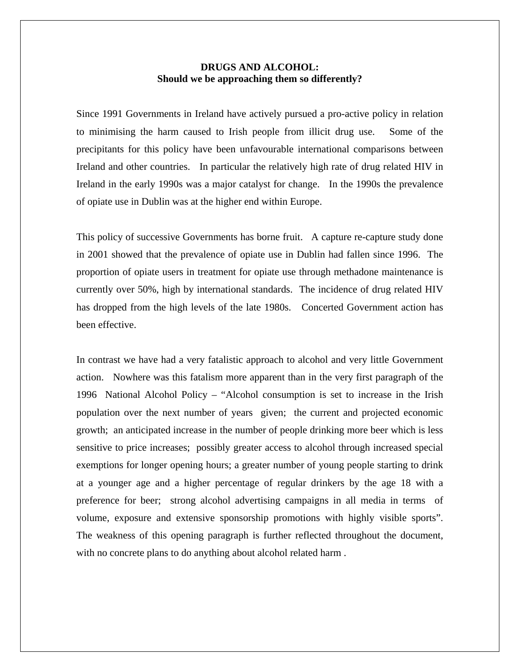## **DRUGS AND ALCOHOL: Should we be approaching them so differently?**

Since 1991 Governments in Ireland have actively pursued a pro-active policy in relation to minimising the harm caused to Irish people from illicit drug use. Some of the precipitants for this policy have been unfavourable international comparisons between Ireland and other countries. In particular the relatively high rate of drug related HIV in Ireland in the early 1990s was a major catalyst for change. In the 1990s the prevalence of opiate use in Dublin was at the higher end within Europe.

This policy of successive Governments has borne fruit. A capture re-capture study done in 2001 showed that the prevalence of opiate use in Dublin had fallen since 1996. The proportion of opiate users in treatment for opiate use through methadone maintenance is currently over 50%, high by international standards. The incidence of drug related HIV has dropped from the high levels of the late 1980s. Concerted Government action has been effective.

In contrast we have had a very fatalistic approach to alcohol and very little Government action. Nowhere was this fatalism more apparent than in the very first paragraph of the 1996 National Alcohol Policy – "Alcohol consumption is set to increase in the Irish population over the next number of years given; the current and projected economic growth; an anticipated increase in the number of people drinking more beer which is less sensitive to price increases; possibly greater access to alcohol through increased special exemptions for longer opening hours; a greater number of young people starting to drink at a younger age and a higher percentage of regular drinkers by the age 18 with a preference for beer; strong alcohol advertising campaigns in all media in terms of volume, exposure and extensive sponsorship promotions with highly visible sports". The weakness of this opening paragraph is further reflected throughout the document, with no concrete plans to do anything about alcohol related harm.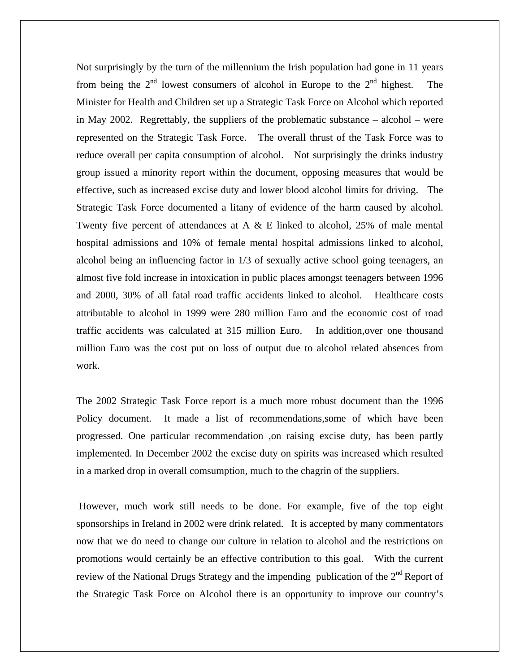Not surprisingly by the turn of the millennium the Irish population had gone in 11 years from being the  $2<sup>nd</sup>$  lowest consumers of alcohol in Europe to the  $2<sup>nd</sup>$  highest. The Minister for Health and Children set up a Strategic Task Force on Alcohol which reported in May 2002. Regrettably, the suppliers of the problematic substance – alcohol – were represented on the Strategic Task Force. The overall thrust of the Task Force was to reduce overall per capita consumption of alcohol. Not surprisingly the drinks industry group issued a minority report within the document, opposing measures that would be effective, such as increased excise duty and lower blood alcohol limits for driving. The Strategic Task Force documented a litany of evidence of the harm caused by alcohol. Twenty five percent of attendances at A & E linked to alcohol, 25% of male mental hospital admissions and 10% of female mental hospital admissions linked to alcohol, alcohol being an influencing factor in 1/3 of sexually active school going teenagers, an almost five fold increase in intoxication in public places amongst teenagers between 1996 and 2000, 30% of all fatal road traffic accidents linked to alcohol. Healthcare costs attributable to alcohol in 1999 were 280 million Euro and the economic cost of road traffic accidents was calculated at 315 million Euro. In addition,over one thousand million Euro was the cost put on loss of output due to alcohol related absences from work.

The 2002 Strategic Task Force report is a much more robust document than the 1996 Policy document. It made a list of recommendations,some of which have been progressed. One particular recommendation ,on raising excise duty, has been partly implemented. In December 2002 the excise duty on spirits was increased which resulted in a marked drop in overall comsumption, much to the chagrin of the suppliers.

 However, much work still needs to be done. For example, five of the top eight sponsorships in Ireland in 2002 were drink related. It is accepted by many commentators now that we do need to change our culture in relation to alcohol and the restrictions on promotions would certainly be an effective contribution to this goal. With the current review of the National Drugs Strategy and the impending publication of the  $2<sup>nd</sup>$  Report of the Strategic Task Force on Alcohol there is an opportunity to improve our country's